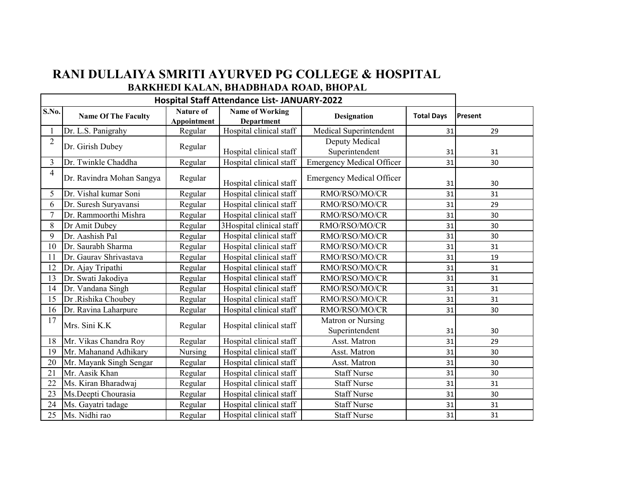## **RANI DULLAIYA SMRITI AYURVED PG COLLEGE & HOSPITAL BARKHEDI KALAN, BHADBHADA ROAD, BHOPAL**

|                | <b>Hospital Staff Attendance List- JANUARY-2022</b> |                                 |                                             |                                  |                   |         |
|----------------|-----------------------------------------------------|---------------------------------|---------------------------------------------|----------------------------------|-------------------|---------|
| S.No.          | <b>Name Of The Faculty</b>                          | Nature of<br><b>Appointment</b> | <b>Name of Working</b><br><b>Department</b> | <b>Designation</b>               | <b>Total Days</b> | Present |
|                | Dr. L.S. Panigrahy                                  | Regular                         | Hospital clinical staff                     | Medical Superintendent           | 31                | 29      |
| $\overline{2}$ | Dr. Girish Dubey                                    | Regular                         |                                             | Deputy Medical                   |                   |         |
|                |                                                     |                                 | Hospital clinical staff                     | Superintendent                   | 31                | 31      |
| 3              | Dr. Twinkle Chaddha                                 | Regular                         | Hospital clinical staff                     | <b>Emergency Medical Officer</b> | 31                | 30      |
| $\overline{4}$ | Dr. Ravindra Mohan Sangya                           | Regular                         | Hospital clinical staff                     | <b>Emergency Medical Officer</b> | 31                | 30      |
| 5              | Dr. Vishal kumar Soni                               | Regular                         | Hospital clinical staff                     | RMO/RSO/MO/CR                    | 31                | 31      |
| 6              | Dr. Suresh Suryavansi                               | Regular                         | Hospital clinical staff                     | RMO/RSO/MO/CR                    | 31                | 29      |
| $\overline{7}$ | Dr. Rammoorthi Mishra                               | Regular                         | Hospital clinical staff                     | RMO/RSO/MO/CR                    | 31                | 30      |
| 8              | Dr Amit Dubey                                       | Regular                         | 3Hospital clinical staff                    | RMO/RSO/MO/CR                    | 31                | 30      |
| 9              | Dr. Aashish Pal                                     | Regular                         | Hospital clinical staff                     | RMO/RSO/MO/CR                    | 31                | 30      |
| 10             | Dr. Saurabh Sharma                                  | Regular                         | Hospital clinical staff                     | RMO/RSO/MO/CR                    | 31                | 31      |
| 11             | Dr. Gaurav Shrivastava                              | Regular                         | Hospital clinical staff                     | RMO/RSO/MO/CR                    | 31                | 19      |
| 12             | Dr. Ajay Tripathi                                   | Regular                         | Hospital clinical staff                     | RMO/RSO/MO/CR                    | 31                | 31      |
| 13             | Dr. Swati Jakodiya                                  | Regular                         | Hospital clinical staff                     | RMO/RSO/MO/CR                    | 31                | 31      |
| 14             | Dr. Vandana Singh                                   | Regular                         | Hospital clinical staff                     | RMO/RSO/MO/CR                    | 31                | 31      |
| 15             | Dr .Rishika Choubey                                 | Regular                         | Hospital clinical staff                     | RMO/RSO/MO/CR                    | 31                | 31      |
| 16             | Dr. Ravina Laharpure                                | Regular                         | Hospital clinical staff                     | RMO/RSO/MO/CR                    | 31                | 30      |
| 17             | Mrs. Sini K.K                                       |                                 | Hospital clinical staff                     | Matron or Nursing                |                   |         |
|                |                                                     | Regular                         |                                             | Superintendent                   | 31                | 30      |
| 18             | Mr. Vikas Chandra Roy                               | Regular                         | Hospital clinical staff                     | Asst. Matron                     | 31                | 29      |
| 19             | Mr. Mahanand Adhikary                               | Nursing                         | Hospital clinical staff                     | Asst. Matron                     | 31                | 30      |
| 20             | Mr. Mayank Singh Sengar                             | Regular                         | Hospital clinical staff                     | Asst. Matron                     | 31                | 30      |
| 21             | Mr. Aasik Khan                                      | Regular                         | Hospital clinical staff                     | <b>Staff Nurse</b>               | 31                | 30      |
| 22             | Ms. Kiran Bharadwaj                                 | Regular                         | Hospital clinical staff                     | <b>Staff Nurse</b>               | 31                | 31      |
| 23             | Ms.Deepti Chourasia                                 | Regular                         | Hospital clinical staff                     | <b>Staff Nurse</b>               | 31                | 30      |
| 24             | Ms. Gayatri tadage                                  | Regular                         | Hospital clinical staff                     | <b>Staff Nurse</b>               | 31                | 31      |
| 25             | Ms. Nidhi rao                                       | Regular                         | Hospital clinical staff                     | <b>Staff Nurse</b>               | 31                | 31      |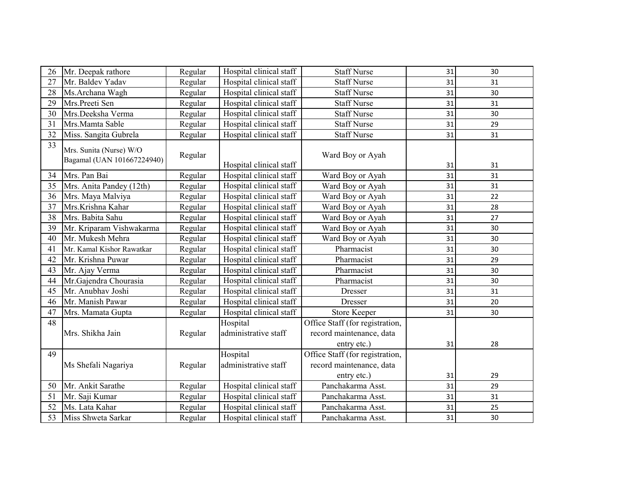| 26 | Mr. Deepak rathore                                    | Regular | Hospital clinical staff | Staff Nurse                     | 31 | 30 |
|----|-------------------------------------------------------|---------|-------------------------|---------------------------------|----|----|
| 27 | Mr. Baldev Yadav                                      | Regular | Hospital clinical staff | <b>Staff Nurse</b>              | 31 | 31 |
| 28 | Ms.Archana Wagh                                       | Regular | Hospital clinical staff | <b>Staff Nurse</b>              | 31 | 30 |
| 29 | Mrs.Preeti Sen                                        | Regular | Hospital clinical staff | <b>Staff Nurse</b>              | 31 | 31 |
| 30 | Mrs.Deeksha Verma                                     | Regular | Hospital clinical staff | <b>Staff Nurse</b>              | 31 | 30 |
| 31 | Mrs.Mamta Sable                                       | Regular | Hospital clinical staff | <b>Staff Nurse</b>              | 31 | 29 |
| 32 | Miss. Sangita Gubrela                                 | Regular | Hospital clinical staff | <b>Staff Nurse</b>              | 31 | 31 |
| 33 | Mrs. Sunita (Nurse) W/O<br>Bagamal (UAN 101667224940) | Regular | Hospital clinical staff | Ward Boy or Ayah                | 31 | 31 |
| 34 | Mrs. Pan Bai                                          | Regular | Hospital clinical staff | Ward Boy or Ayah                | 31 | 31 |
| 35 | Mrs. Anita Pandey (12th)                              | Regular | Hospital clinical staff | Ward Boy or Ayah                | 31 | 31 |
| 36 | Mrs. Maya Malviya                                     | Regular | Hospital clinical staff | Ward Boy or Ayah                | 31 | 22 |
| 37 | Mrs.Krishna Kahar                                     | Regular | Hospital clinical staff | Ward Boy or Ayah                | 31 | 28 |
| 38 | Mrs. Babita Sahu                                      | Regular | Hospital clinical staff | Ward Boy or Ayah                | 31 | 27 |
| 39 | Mr. Kriparam Vishwakarma                              | Regular | Hospital clinical staff | Ward Boy or Ayah                | 31 | 30 |
| 40 | Mr. Mukesh Mehra                                      | Regular | Hospital clinical staff | Ward Boy or Ayah                | 31 | 30 |
| 41 | Mr. Kamal Kishor Rawatkar                             | Regular | Hospital clinical staff | Pharmacist                      | 31 | 30 |
| 42 | Mr. Krishna Puwar                                     | Regular | Hospital clinical staff | Pharmacist                      | 31 | 29 |
| 43 | Mr. Ajay Verma                                        | Regular | Hospital clinical staff | Pharmacist                      | 31 | 30 |
| 44 | Mr.Gajendra Chourasia                                 | Regular | Hospital clinical staff | Pharmacist                      | 31 | 30 |
| 45 | Mr. Anubhav Joshi                                     | Regular | Hospital clinical staff | Dresser                         | 31 | 31 |
| 46 | Mr. Manish Pawar                                      | Regular | Hospital clinical staff | Dresser                         | 31 | 20 |
| 47 | Mrs. Mamata Gupta                                     | Regular | Hospital clinical staff | <b>Store Keeper</b>             | 31 | 30 |
| 48 |                                                       |         | Hospital                | Office Staff (for registration, |    |    |
|    | Mrs. Shikha Jain                                      | Regular | administrative staff    | record maintenance, data        |    |    |
|    |                                                       |         |                         | entry etc.)                     | 31 | 28 |
| 49 |                                                       |         | Hospital                | Office Staff (for registration, |    |    |
|    | Ms Shefali Nagariya                                   | Regular | administrative staff    | record maintenance, data        |    |    |
|    |                                                       |         |                         | entry etc.)                     | 31 | 29 |
| 50 | Mr. Ankit Sarathe                                     | Regular | Hospital clinical staff | Panchakarma Asst.               | 31 | 29 |
| 51 | Mr. Saji Kumar                                        | Regular | Hospital clinical staff | Panchakarma Asst.               | 31 | 31 |
| 52 | Ms. Lata Kahar                                        | Regular | Hospital clinical staff | Panchakarma Asst.               | 31 | 25 |
| 53 | Miss Shweta Sarkar                                    | Regular | Hospital clinical staff | Panchakarma Asst.               | 31 | 30 |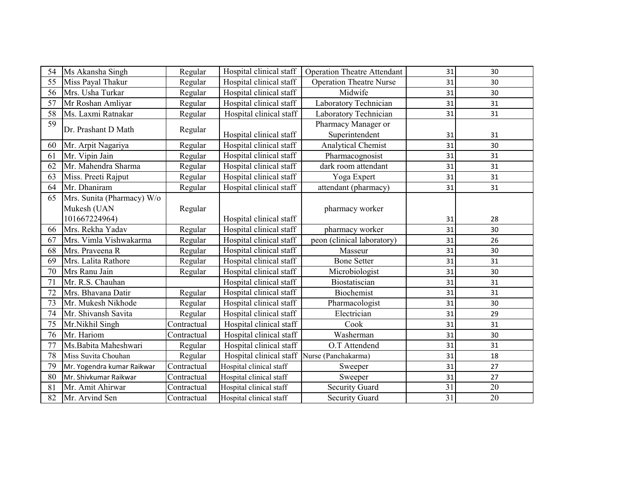| 54 | Ms Akansha Singh           | Regular     | Hospital clinical staff | <b>Operation Theatre Attendant</b> | 31              | 30 |
|----|----------------------------|-------------|-------------------------|------------------------------------|-----------------|----|
| 55 | Miss Payal Thakur          | Regular     | Hospital clinical staff | <b>Operation Theatre Nurse</b>     | 31              | 30 |
| 56 | Mrs. Usha Turkar           | Regular     | Hospital clinical staff | Midwife                            | 31              | 30 |
| 57 | Mr Roshan Amliyar          | Regular     | Hospital clinical staff | Laboratory Technician              | 31              | 31 |
| 58 | Ms. Laxmi Ratnakar         | Regular     | Hospital clinical staff | Laboratory Technician              | 31              | 31 |
| 59 | Dr. Prashant D Math        |             |                         | Pharmacy Manager or                |                 |    |
|    |                            | Regular     | Hospital clinical staff | Superintendent                     | 31              | 31 |
| 60 | Mr. Arpit Nagariya         | Regular     | Hospital clinical staff | <b>Analytical Chemist</b>          | 31              | 30 |
| 61 | Mr. Vipin Jain             | Regular     | Hospital clinical staff | Pharmacognosist                    | 31              | 31 |
| 62 | Mr. Mahendra Sharma        | Regular     | Hospital clinical staff | dark room attendant                | 31              | 31 |
| 63 | Miss. Preeti Rajput        | Regular     | Hospital clinical staff | Yoga Expert                        | 31              | 31 |
| 64 | Mr. Dhaniram               | Regular     | Hospital clinical staff | attendant (pharmacy)               | 31              | 31 |
| 65 | Mrs. Sunita (Pharmacy) W/o |             |                         |                                    |                 |    |
|    | Mukesh (UAN                | Regular     |                         | pharmacy worker                    |                 |    |
|    | 101667224964)              |             | Hospital clinical staff |                                    | 31              | 28 |
| 66 | Mrs. Rekha Yadav           | Regular     | Hospital clinical staff | pharmacy worker                    | 31              | 30 |
| 67 | Mrs. Vimla Vishwakarma     | Regular     | Hospital clinical staff | peon (clinical laboratory)         | 31              | 26 |
| 68 | Mrs. Praveena R            | Regular     | Hospital clinical staff | Masseur                            | 31              | 30 |
| 69 | Mrs. Lalita Rathore        | Regular     | Hospital clinical staff | <b>Bone Setter</b>                 | 31              | 31 |
| 70 | Mrs Ranu Jain              | Regular     | Hospital clinical staff | Microbiologist                     | 31              | 30 |
| 71 | Mr. R.S. Chauhan           |             | Hospital clinical staff | Biostatiscian                      | 31              | 31 |
| 72 | Mrs. Bhavana Datir         | Regular     | Hospital clinical staff | <b>Biochemist</b>                  | 31              | 31 |
| 73 | Mr. Mukesh Nikhode         | Regular     | Hospital clinical staff | Pharmacologist                     | 31              | 30 |
| 74 | Mr. Shivansh Savita        | Regular     | Hospital clinical staff | Electrician                        | 31              | 29 |
| 75 | Mr.Nikhil Singh            | Contractual | Hospital clinical staff | Cook                               | 31              | 31 |
| 76 | Mr. Hariom                 | Contractual | Hospital clinical staff | Washerman                          | 31              | 30 |
| 77 | Ms.Babita Maheshwari       | Regular     | Hospital clinical staff | O.T Attendend                      | 31              | 31 |
| 78 | Miss Suvita Chouhan        | Regular     | Hospital clinical staff | Nurse (Panchakarma)                | 31              | 18 |
| 79 | Mr. Yogendra kumar Raikwar | Contractual | Hospital clinical staff | Sweeper                            | 31              | 27 |
| 80 | Mr. Shivkumar Raikwar      | Contractual | Hospital clinical staff | Sweeper                            | 31              | 27 |
| 81 | Mr. Amit Ahirwar           | Contractual | Hospital clinical staff | <b>Security Guard</b>              | $\overline{31}$ | 20 |
| 82 | Mr. Arvind Sen             | Contractual | Hospital clinical staff | <b>Security Guard</b>              | 31              | 20 |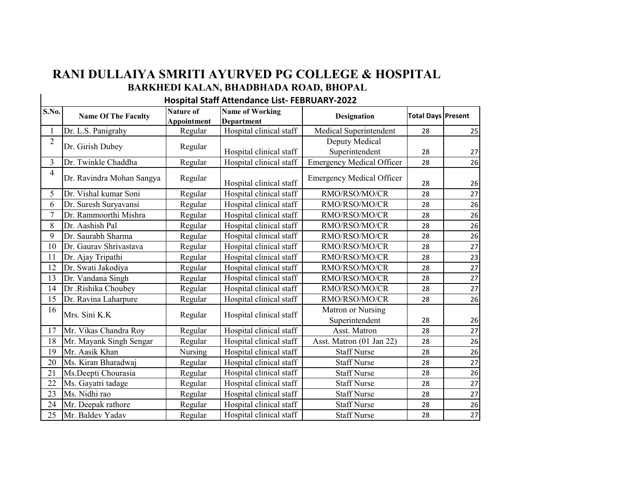## **RANI DULLAIYA SMRITI AYURVED PG COLLEGE & HOSPITAL BARKHEDI KALAN, BHADBHADA ROAD, BHOPAL**

## **Hospital Staff Attendance List- FEBRUARY-2022**

| S.No.          | <b>Name Of The Faculty</b> | <b>Nature of</b><br><b>Appointment</b> | <b>Name of Working</b><br><b>Department</b> | Designation                         | <b>Total Days Present</b> |    |
|----------------|----------------------------|----------------------------------------|---------------------------------------------|-------------------------------------|---------------------------|----|
|                | Dr. L.S. Panigrahy         | Regular                                | Hospital clinical staff                     | Medical Superintendent              | 28                        | 25 |
| $\overline{c}$ | Dr. Girish Dubey           | Regular                                | Hospital clinical staff                     | Deputy Medical<br>Superintendent    | 28                        | 27 |
| 3              | Dr. Twinkle Chaddha        | Regular                                | Hospital clinical staff                     | <b>Emergency Medical Officer</b>    | 28                        | 26 |
| $\overline{4}$ | Dr. Ravindra Mohan Sangya  | Regular                                | Hospital clinical staff                     | <b>Emergency Medical Officer</b>    | 28                        | 26 |
| 5              | Dr. Vishal kumar Soni      | Regular                                | Hospital clinical staff                     | RMO/RSO/MO/CR                       | 28                        | 27 |
| 6              | Dr. Suresh Suryavansi      | Regular                                | Hospital clinical staff                     | RMO/RSO/MO/CR                       | 28                        | 26 |
| 7              | Dr. Rammoorthi Mishra      | Regular                                | Hospital clinical staff                     | RMO/RSO/MO/CR                       | 28                        | 26 |
| 8              | Dr. Aashish Pal            | Regular                                | Hospital clinical staff                     | RMO/RSO/MO/CR                       | 28                        | 26 |
| 9              | Dr. Saurabh Sharma         | Regular                                | Hospital clinical staff                     | RMO/RSO/MO/CR                       | 28                        | 26 |
| 10             | Dr. Gaurav Shrivastava     | Regular                                | Hospital clinical staff                     | RMO/RSO/MO/CR                       | 28                        | 27 |
| 11             | Dr. Ajay Tripathi          | Regular                                | Hospital clinical staff                     | RMO/RSO/MO/CR                       | 28                        | 23 |
| 12             | Dr. Swati Jakodiya         | Regular                                | Hospital clinical staff                     | RMO/RSO/MO/CR                       | 28                        | 27 |
| 13             | Dr. Vandana Singh          | Regular                                | Hospital clinical staff                     | RMO/RSO/MO/CR                       | 28                        | 27 |
| 14             | Dr .Rishika Choubey        | Regular                                | Hospital clinical staff                     | RMO/RSO/MO/CR                       | 28                        | 27 |
| 15             | Dr. Ravina Laharpure       | Regular                                | Hospital clinical staff                     | RMO/RSO/MO/CR                       | 28                        | 26 |
| 16             | Mrs. Sini K.K              | Regular                                | Hospital clinical staff                     | Matron or Nursing<br>Superintendent | 28                        | 26 |
| 17             | Mr. Vikas Chandra Roy      | Regular                                | Hospital clinical staff                     | Asst. Matron                        | 28                        | 27 |
| 18             | Mr. Mayank Singh Sengar    | Regular                                | Hospital clinical staff                     | Asst. Matron (01 Jan 22)            | 28                        | 26 |
| 19             | Mr. Aasik Khan             | Nursing                                | Hospital clinical staff                     | <b>Staff Nurse</b>                  | 28                        | 26 |
| 20             | Ms. Kiran Bharadwaj        | Regular                                | Hospital clinical staff                     | <b>Staff Nurse</b>                  | 28                        | 27 |
| 21             | Ms.Deepti Chourasia        | Regular                                | Hospital clinical staff                     | <b>Staff Nurse</b>                  | 28                        | 26 |
| 22             | Ms. Gayatri tadage         | Regular                                | Hospital clinical staff                     | <b>Staff Nurse</b>                  | 28                        | 27 |
| 23             | Ms. Nidhi rao              | Regular                                | Hospital clinical staff                     | <b>Staff Nurse</b>                  | 28                        | 27 |
| 24             | Mr. Deepak rathore         | Regular                                | Hospital clinical staff                     | <b>Staff Nurse</b>                  | 28                        | 26 |
| 25             | Mr. Baldev Yadav           | Regular                                | Hospital clinical staff                     | <b>Staff Nurse</b>                  | 28                        | 27 |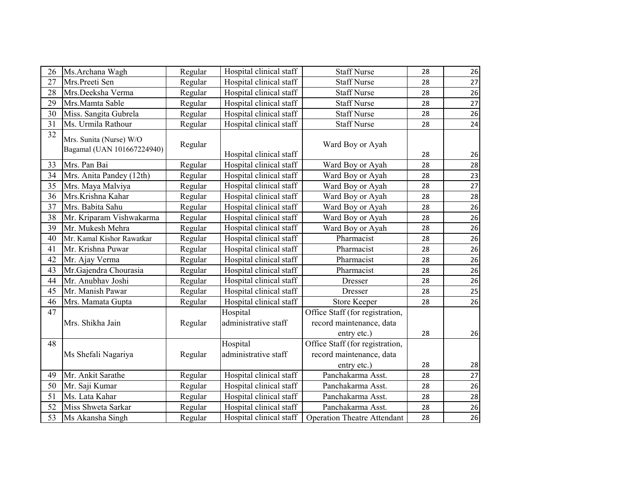| 26 | Ms.Archana Wagh                                       | Regular | Hospital clinical staff          | <b>Staff Nurse</b>                                                         | 28 | 26 |
|----|-------------------------------------------------------|---------|----------------------------------|----------------------------------------------------------------------------|----|----|
| 27 | Mrs.Preeti Sen                                        | Regular | Hospital clinical staff          | <b>Staff Nurse</b>                                                         | 28 | 27 |
| 28 | Mrs.Deeksha Verma                                     | Regular | Hospital clinical staff          | <b>Staff Nurse</b>                                                         | 28 | 26 |
| 29 | Mrs.Mamta Sable                                       | Regular | Hospital clinical staff          | <b>Staff Nurse</b>                                                         | 28 | 27 |
| 30 | Miss. Sangita Gubrela                                 | Regular | Hospital clinical staff          | <b>Staff Nurse</b>                                                         | 28 | 26 |
| 31 | Ms. Urmila Rathour                                    | Regular | Hospital clinical staff          | <b>Staff Nurse</b>                                                         | 28 | 24 |
| 32 | Mrs. Sunita (Nurse) W/O<br>Bagamal (UAN 101667224940) | Regular | Hospital clinical staff          | Ward Boy or Ayah                                                           | 28 | 26 |
| 33 | Mrs. Pan Bai                                          | Regular | Hospital clinical staff          | Ward Boy or Ayah                                                           | 28 | 28 |
| 34 | Mrs. Anita Pandey (12th)                              | Regular | Hospital clinical staff          | Ward Boy or Ayah                                                           | 28 | 23 |
| 35 | Mrs. Maya Malviya                                     | Regular | Hospital clinical staff          | Ward Boy or Ayah                                                           | 28 | 27 |
| 36 | Mrs.Krishna Kahar                                     | Regular | Hospital clinical staff          | Ward Boy or Ayah                                                           | 28 | 28 |
| 37 | Mrs. Babita Sahu                                      | Regular | Hospital clinical staff          | Ward Boy or Ayah                                                           | 28 | 26 |
| 38 | Mr. Kriparam Vishwakarma                              | Regular | Hospital clinical staff          | Ward Boy or Ayah                                                           | 28 | 26 |
| 39 | Mr. Mukesh Mehra                                      | Regular | Hospital clinical staff          | Ward Boy or Ayah                                                           | 28 | 26 |
| 40 | Mr. Kamal Kishor Rawatkar                             | Regular | Hospital clinical staff          | Pharmacist                                                                 | 28 | 26 |
| 41 | Mr. Krishna Puwar                                     | Regular | Hospital clinical staff          | Pharmacist                                                                 | 28 | 26 |
| 42 | Mr. Ajay Verma                                        | Regular | Hospital clinical staff          | Pharmacist                                                                 | 28 | 26 |
| 43 | Mr.Gajendra Chourasia                                 | Regular | Hospital clinical staff          | Pharmacist                                                                 | 28 | 26 |
| 44 | Mr. Anubhav Joshi                                     | Regular | Hospital clinical staff          | Dresser                                                                    | 28 | 26 |
| 45 | Mr. Manish Pawar                                      | Regular | Hospital clinical staff          | Dresser                                                                    | 28 | 25 |
| 46 | Mrs. Mamata Gupta                                     | Regular | Hospital clinical staff          | <b>Store Keeper</b>                                                        | 28 | 26 |
| 47 | Mrs. Shikha Jain                                      | Regular | Hospital<br>administrative staff | Office Staff (for registration,<br>record maintenance, data<br>entry etc.) | 28 | 26 |
| 48 | Ms Shefali Nagariya                                   | Regular | Hospital<br>administrative staff | Office Staff (for registration,<br>record maintenance, data<br>entry etc.) | 28 | 28 |
| 49 | Mr. Ankit Sarathe                                     | Regular | Hospital clinical staff          | Panchakarma Asst.                                                          | 28 | 27 |
| 50 | Mr. Saji Kumar                                        | Regular | Hospital clinical staff          | Panchakarma Asst.                                                          | 28 | 26 |
| 51 | Ms. Lata Kahar                                        | Regular | Hospital clinical staff          | Panchakarma Asst.                                                          | 28 | 28 |
| 52 | Miss Shweta Sarkar                                    | Regular | Hospital clinical staff          | Panchakarma Asst.                                                          | 28 | 26 |
| 53 | Ms Akansha Singh                                      | Regular | Hospital clinical staff          | <b>Operation Theatre Attendant</b>                                         | 28 | 26 |